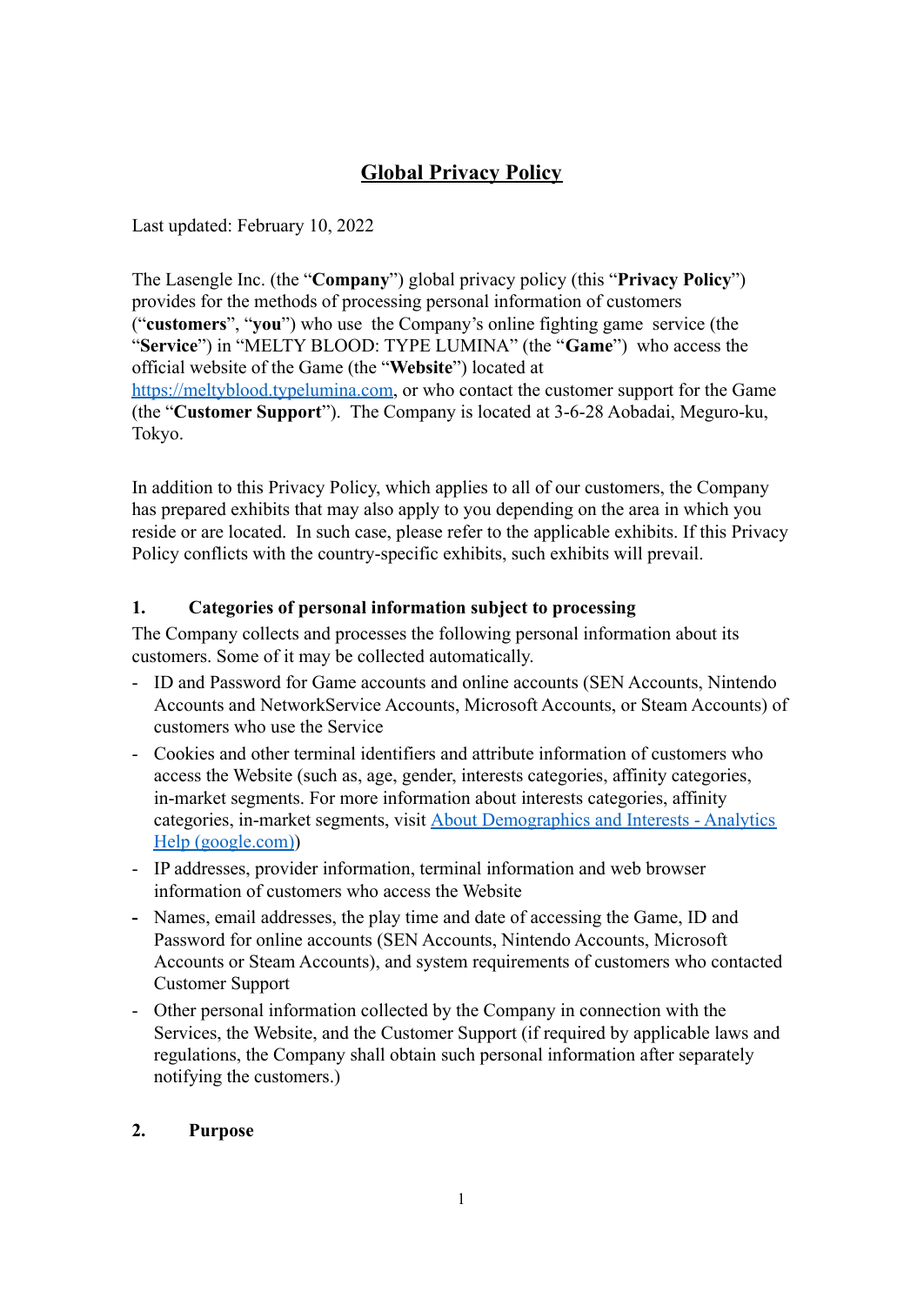# **Global Privacy Policy**

Last updated: February 10, 2022

The Lasengle Inc. (the "**Company**") global privacy policy (this "**Privacy Policy**") provides for the methods of processing personal information of customers ("**customers**", "**you**") who use the Company's online fighting game service (the "**Service**") in "MELTY BLOOD: TYPE LUMINA" (the "**Game**") who access the official website of the Game (the "**Website**") located at [https://meltyblood.typelumina.com,](https://meltyblood.typelumina.com) or who contact the customer support for the Game (the "**Customer Support**"). The Company is located at 3-6-28 Aobadai, Meguro-ku, Tokyo.

In addition to this Privacy Policy, which applies to all of our customers, the Company has prepared exhibits that may also apply to you depending on the area in which you reside or are located. In such case, please refer to the applicable exhibits. If this Privacy Policy conflicts with the country-specific exhibits, such exhibits will prevail.

## **1. Categories of personal information subject to processing**

The Company collects and processes the following personal information about its customers. Some of it may be collected automatically.

- ID and Password for Game accounts and online accounts (SEN Accounts, Nintendo Accounts and NetworkService Accounts, Microsoft Accounts, or Steam Accounts) of customers who use the Service
- Cookies and other terminal identifiers and attribute information of customers who access the Website (such as, age, gender, interests categories, affinity categories, in-market segments. For more information about interests categories, affinity categories, in-market segments, visit About Demographics [and Interests - Analytics](https://support.google.com/analytics/answer/2799357?hl=en#zippy=%2Cin-this-article) [Help \(google.com\)\)](https://support.google.com/analytics/answer/2799357?hl=en#zippy=%2Cin-this-article)
- IP addresses, provider information, terminal information and web browser information of customers who access the Website
- **-** Names, email addresses, the play time and date of accessing the Game, ID and Password for online accounts (SEN Accounts, Nintendo Accounts, Microsoft Accounts or Steam Accounts), and system requirements of customers who contacted Customer Support
- Other personal information collected by the Company in connection with the Services, the Website, and the Customer Support (if required by applicable laws and regulations, the Company shall obtain such personal information after separately notifying the customers.)

## <span id="page-0-0"></span>**2. Purpose**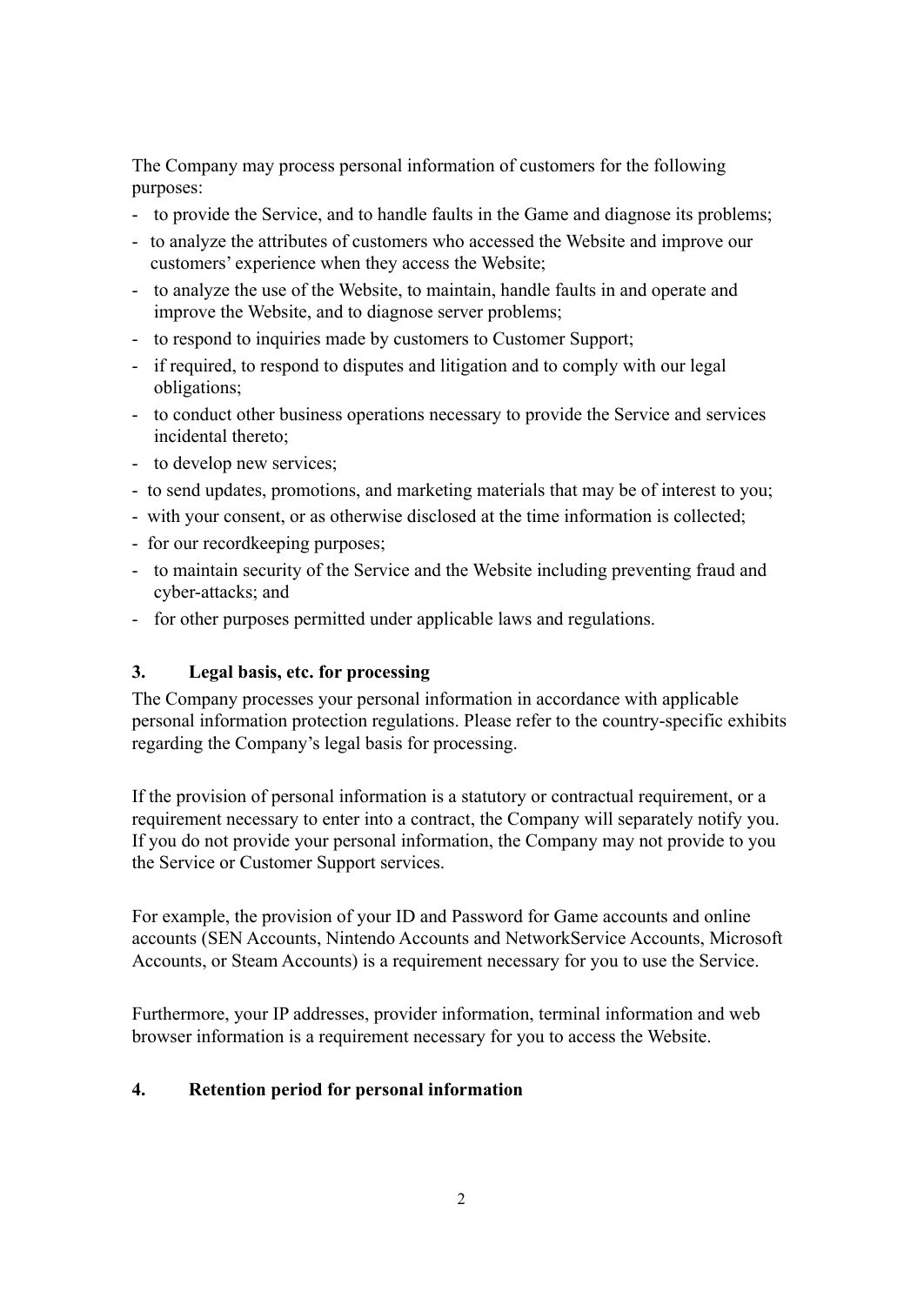The Company may process personal information of customers for the following purposes:

- to provide the Service, and to handle faults in the Game and diagnose its problems;
- to analyze the attributes of customers who accessed the Website and improve our customers' experience when they access the Website;
- to analyze the use of the Website, to maintain, handle faults in and operate and improve the Website, and to diagnose server problems;
- to respond to inquiries made by customers to Customer Support;
- if required, to respond to disputes and litigation and to comply with our legal obligations;
- to conduct other business operations necessary to provide the Service and services incidental thereto;
- to develop new services;
- to send updates, promotions, and marketing materials that may be of interest to you;
- with your consent, or as otherwise disclosed at the time information is collected;
- for our recordkeeping purposes;
- to maintain security of the Service and the Website including preventing fraud and cyber-attacks; and
- for other purposes permitted under applicable laws and regulations.

## **3. Legal basis, etc. for processing**

The Company processes your personal information in accordance with applicable personal information protection regulations. Please refer to the country-specific exhibits regarding the Company's legal basis for processing.

If the provision of personal information is a statutory or contractual requirement, or a requirement necessary to enter into a contract, the Company will separately notify you. If you do not provide your personal information, the Company may not provide to you the Service or Customer Support services.

For example, the provision of your ID and Password for Game accounts and online accounts (SEN Accounts, Nintendo Accounts and NetworkService Accounts, Microsoft Accounts, or Steam Accounts) is a requirement necessary for you to use the Service.

Furthermore, your IP addresses, provider information, terminal information and web browser information is a requirement necessary for you to access the Website.

#### **4. Retention period for personal information**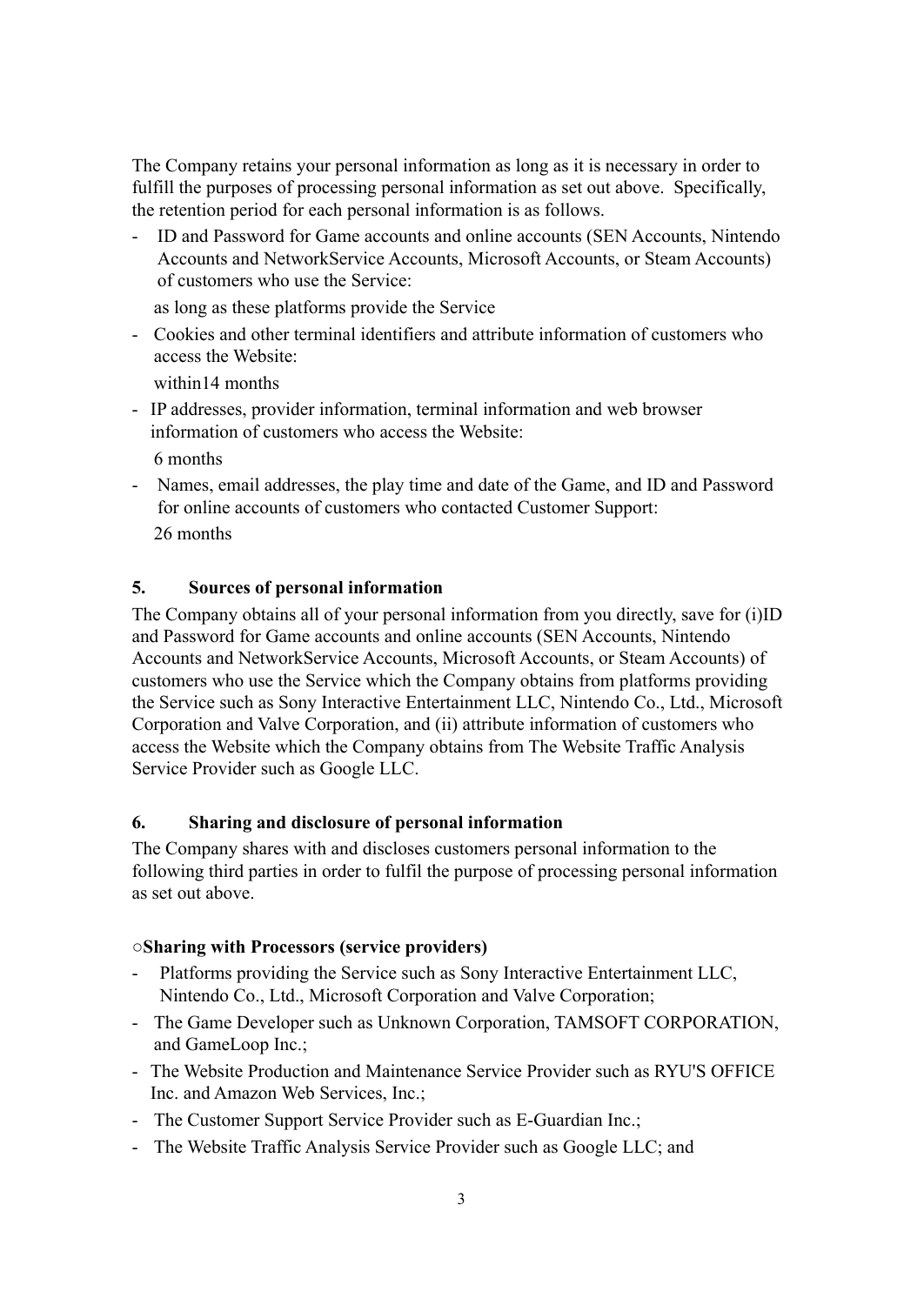The Company retains your personal information as long as it is necessary in order to fulfill the purposes of processing personal information as set out above. Specifically, the retention period for each personal information is as follows.

- ID and Password for Game accounts and online accounts (SEN Accounts, Nintendo Accounts and NetworkService Accounts, Microsoft Accounts, or Steam Accounts) of customers who use the Service:

as long as these platforms provide the Service

- Cookies and other terminal identifiers and attribute information of customers who access the Website:

within14 months

- IP addresses, provider information, terminal information and web browser information of customers who access the Website:

6 months

- Names, email addresses, the play time and date of the Game, and ID and Password for online accounts of customers who contacted Customer Support: 26 months

#### <span id="page-2-0"></span>**5. Sources of personal information**

The Company obtains all of your personal information from you directly, save for (i)ID and Password for Game accounts and online accounts (SEN Accounts, Nintendo Accounts and NetworkService Accounts, Microsoft Accounts, or Steam Accounts) of customers who use the Service which the Company obtains from platforms providing the Service such as Sony Interactive Entertainment LLC, Nintendo Co., Ltd., Microsoft Corporation and Valve Corporation, and (ii) attribute information of customers who access the Website which the Company obtains from The Website Traffic Analysis Service Provider such as Google LLC.

#### **6. Sharing and disclosure of personal information**

The Company shares with and discloses customers personal information to the following third parties in order to fulfil the purpose of processing personal information as set out above.

#### **○Sharing with Processors (service providers)**

- Platforms providing the Service such as Sony Interactive Entertainment LLC, Nintendo Co., Ltd., Microsoft Corporation and Valve Corporation;
- The Game Developer such as Unknown Corporation, TAMSOFT CORPORATION, and GameLoop Inc.;
- The Website Production and Maintenance Service Provider such as RYU'S OFFICE Inc. and Amazon Web Services, Inc.;
- The Customer Support Service Provider such as E-Guardian Inc.;
- The Website Traffic Analysis Service Provider such as Google LLC; and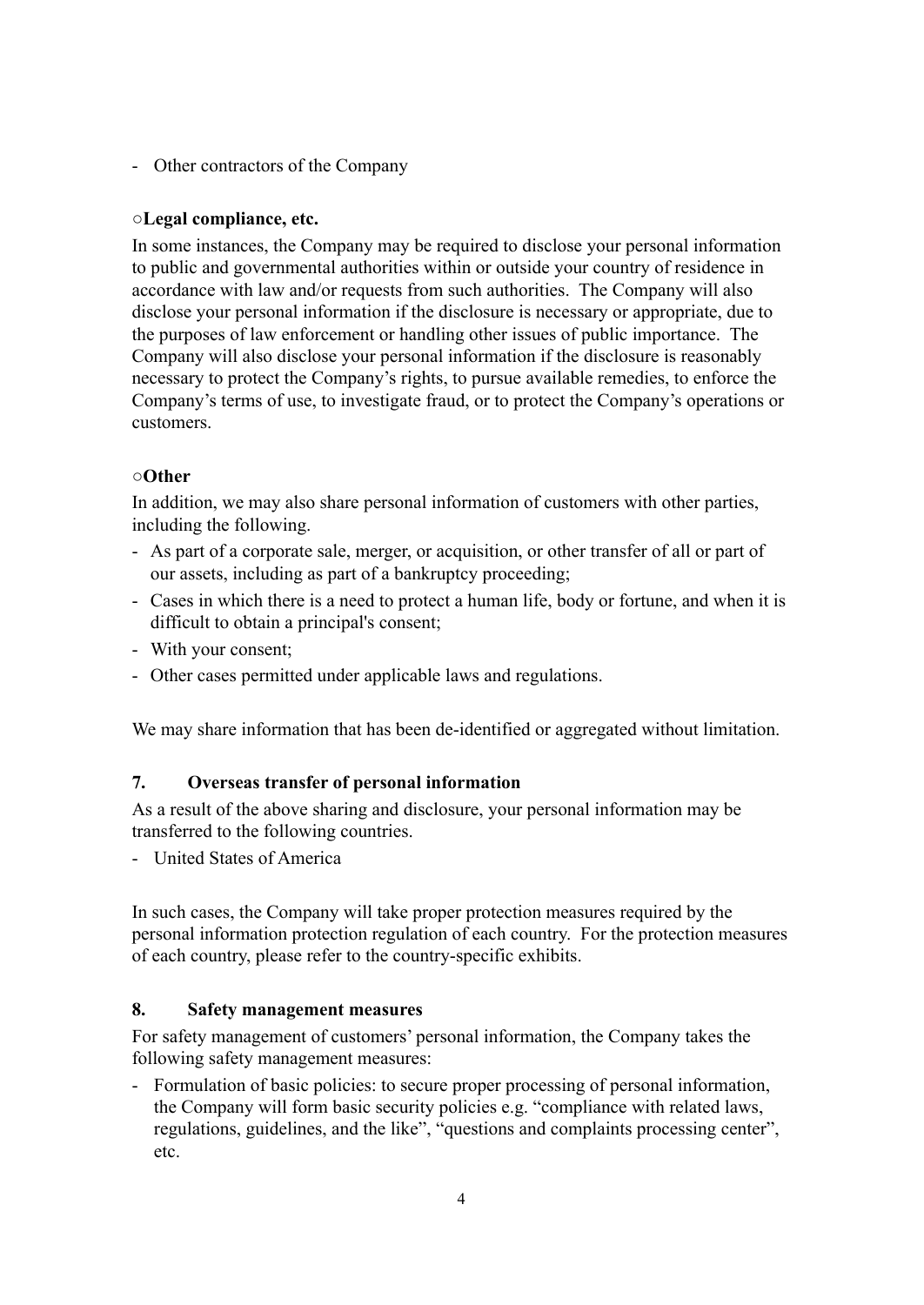- Other contractors of the Company

#### **○Legal compliance, etc.**

In some instances, the Company may be required to disclose your personal information to public and governmental authorities within or outside your country of residence in accordance with law and/or requests from such authorities. The Company will also disclose your personal information if the disclosure is necessary or appropriate, due to the purposes of law enforcement or handling other issues of public importance. The Company will also disclose your personal information if the disclosure is reasonably necessary to protect the Company's rights, to pursue available remedies, to enforce the Company's terms of use, to investigate fraud, or to protect the Company's operations or customers.

#### **○Other**

In addition, we may also share personal information of customers with other parties, including the following.

- As part of a corporate sale, merger, or acquisition, or other transfer of all or part of our assets, including as part of a bankruptcy proceeding;
- Cases in which there is a need to protect a human life, body or fortune, and when it is difficult to obtain a principal's consent;
- With your consent;
- Other cases permitted under applicable laws and regulations.

We may share information that has been de-identified or aggregated without limitation.

#### **7. Overseas transfer of personal information**

As a result of the above sharing and disclosure, your personal information may be transferred to the following countries.

- United States of America

In such cases, the Company will take proper protection measures required by the personal information protection regulation of each country. For the protection measures of each country, please refer to the country-specific exhibits.

#### **8. Safety management measures**

For safety management of customers' personal information, the Company takes the following safety management measures:

- Formulation of basic policies: to secure proper processing of personal information, the Company will form basic security policies e.g. "compliance with related laws, regulations, guidelines, and the like", "questions and complaints processing center", etc.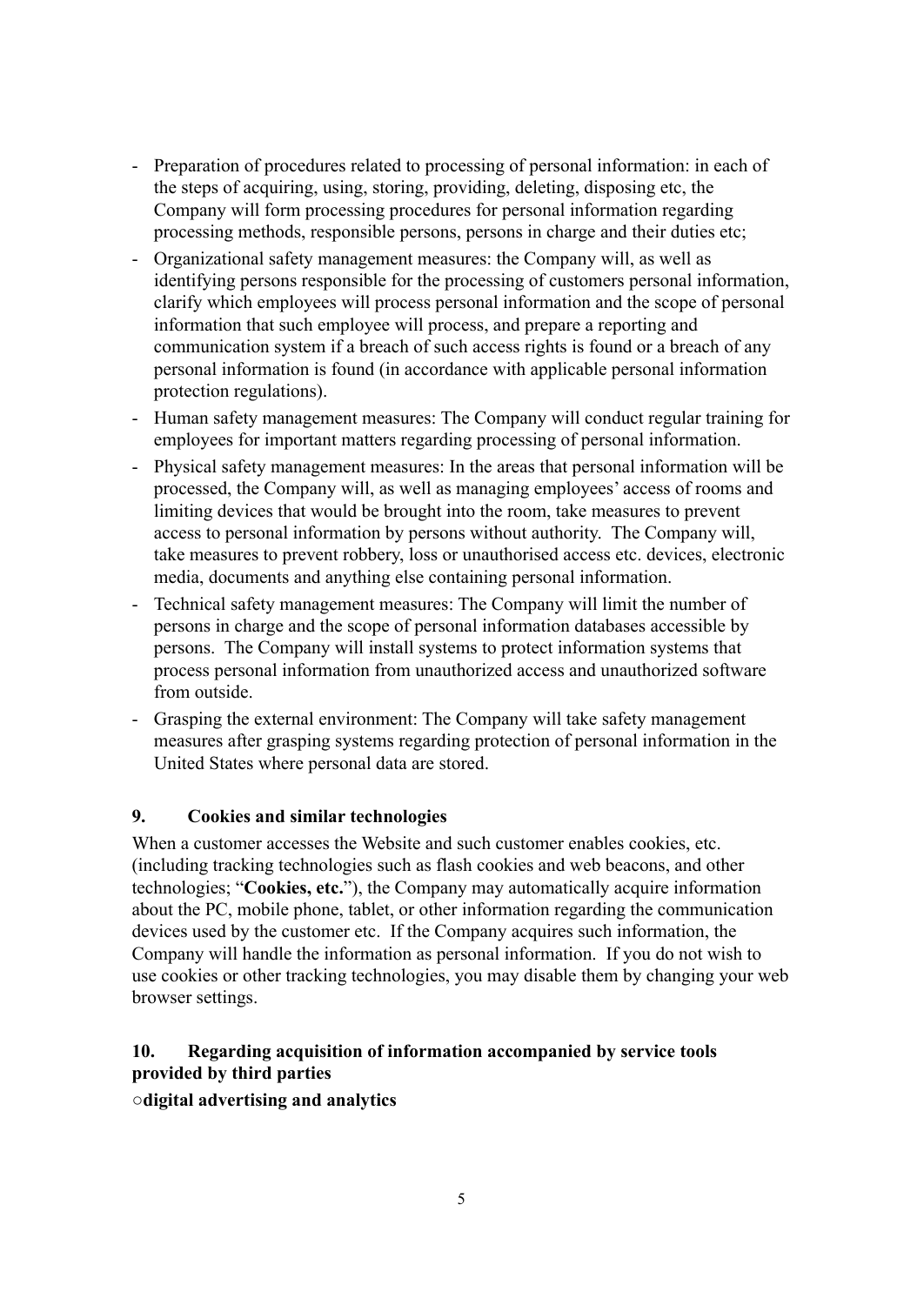- Preparation of procedures related to processing of personal information: in each of the steps of acquiring, using, storing, providing, deleting, disposing etc, the Company will form processing procedures for personal information regarding processing methods, responsible persons, persons in charge and their duties etc;
- Organizational safety management measures: the Company will, as well as identifying persons responsible for the processing of customers personal information, clarify which employees will process personal information and the scope of personal information that such employee will process, and prepare a reporting and communication system if a breach of such access rights is found or a breach of any personal information is found (in accordance with applicable personal information protection regulations).
- Human safety management measures: The Company will conduct regular training for employees for important matters regarding processing of personal information.
- Physical safety management measures: In the areas that personal information will be processed, the Company will, as well as managing employees' access of rooms and limiting devices that would be brought into the room, take measures to prevent access to personal information by persons without authority. The Company will, take measures to prevent robbery, loss or unauthorised access etc. devices, electronic media, documents and anything else containing personal information.
- Technical safety management measures: The Company will limit the number of persons in charge and the scope of personal information databases accessible by persons. The Company will install systems to protect information systems that process personal information from unauthorized access and unauthorized software from outside.
- Grasping the external environment: The Company will take safety management measures after grasping systems regarding protection of personal information in the United States where personal data are stored.

#### **9. Cookies and similar technologies**

When a customer accesses the Website and such customer enables cookies, etc. (including tracking technologies such as flash cookies and web beacons, and other technologies; "**Cookies, etc.**"), the Company may automatically acquire information about the PC, mobile phone, tablet, or other information regarding the communication devices used by the customer etc. If the Company acquires such information, the Company will handle the information as personal information. If you do not wish to use cookies or other tracking technologies, you may disable them by changing your web browser settings.

## **10. Regarding acquisition of information accompanied by service tools provided by third parties**

**○digital advertising and analytics**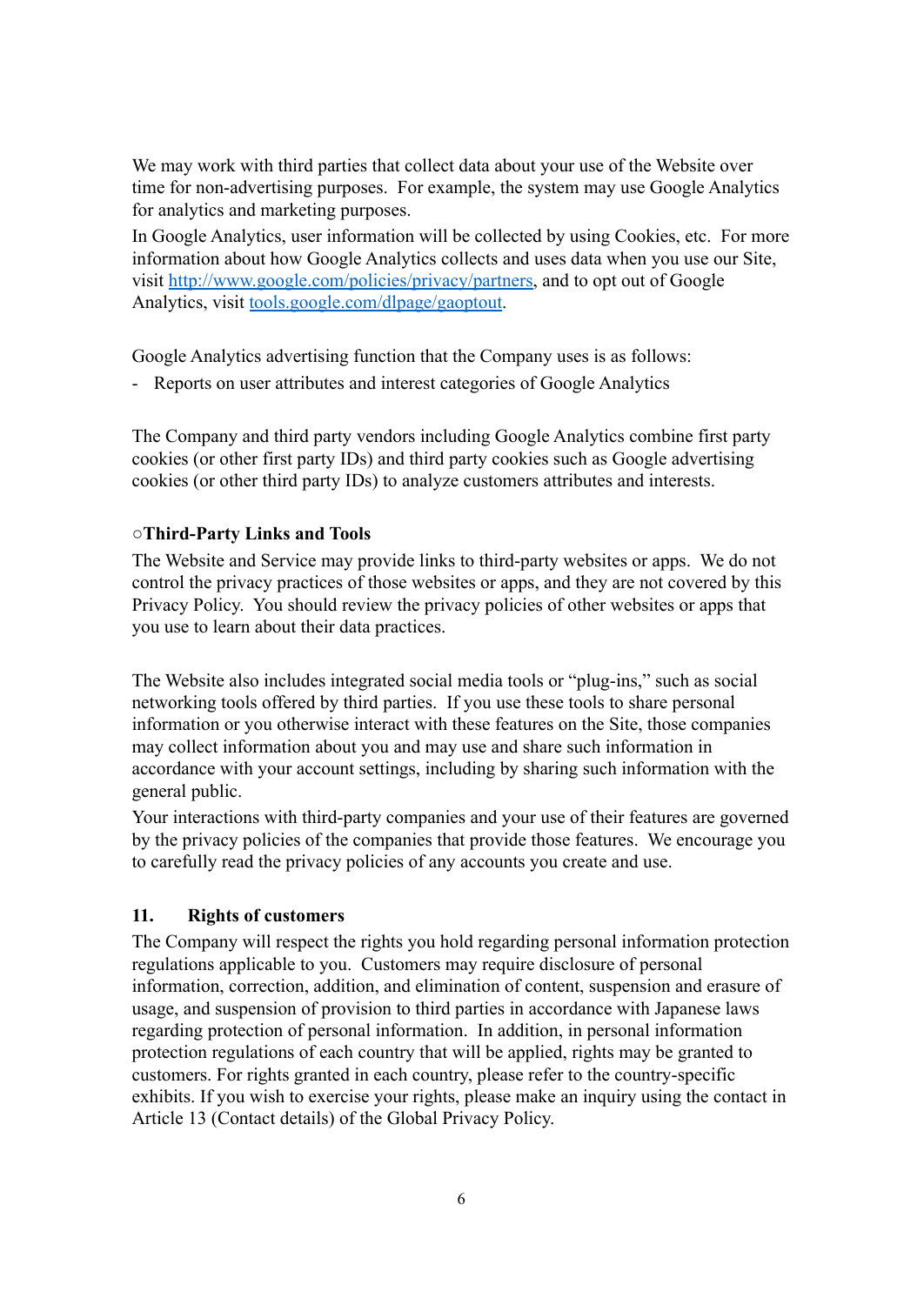We may work with third parties that collect data about your use of the Website over time for non-advertising purposes. For example, the system may use Google Analytics for analytics and marketing purposes.

In Google Analytics, user information will be collected by using Cookies, etc. For more information about how Google Analytics collects and uses data when you use our Site, visit [http://www.google.com/policies/privacy/partners,](http://www.google.com/policies/privacy/partners) and to opt out of Google Analytics, visit [tools.google.com/dlpage/gaoptout](https://tools.google.com/dlpage/gaoptout).

Google Analytics advertising function that the Company uses is as follows:

- Reports on user attributes and interest categories of Google Analytics

The Company and third party vendors including Google Analytics combine first party cookies (or other first party IDs) and third party cookies such as Google advertising cookies (or other third party IDs) to analyze customers attributes and interests.

#### **○Third-Party Links and Tools**

The Website and Service may provide links to third-party websites or apps. We do not control the privacy practices of those websites or apps, and they are not covered by this Privacy Policy. You should review the privacy policies of other websites or apps that you use to learn about their data practices.

The Website also includes integrated social media tools or "plug-ins," such as social networking tools offered by third parties. If you use these tools to share personal information or you otherwise interact with these features on the Site, those companies may collect information about you and may use and share such information in accordance with your account settings, including by sharing such information with the general public.

Your interactions with third-party companies and your use of their features are governed by the privacy policies of the companies that provide those features. We encourage you to carefully read the privacy policies of any accounts you create and use.

#### **11. Rights of customers**

The Company will respect the rights you hold regarding personal information protection regulations applicable to you. Customers may require disclosure of personal information, correction, addition, and elimination of content, suspension and erasure of usage, and suspension of provision to third parties in accordance with Japanese laws regarding protection of personal information. In addition, in personal information protection regulations of each country that will be applied, rights may be granted to customers. For rights granted in each country, please refer to the country-specific exhibits. If you wish to exercise your rights, please make an inquiry using the contact in Article 13 (Contact details) of the Global Privacy Policy.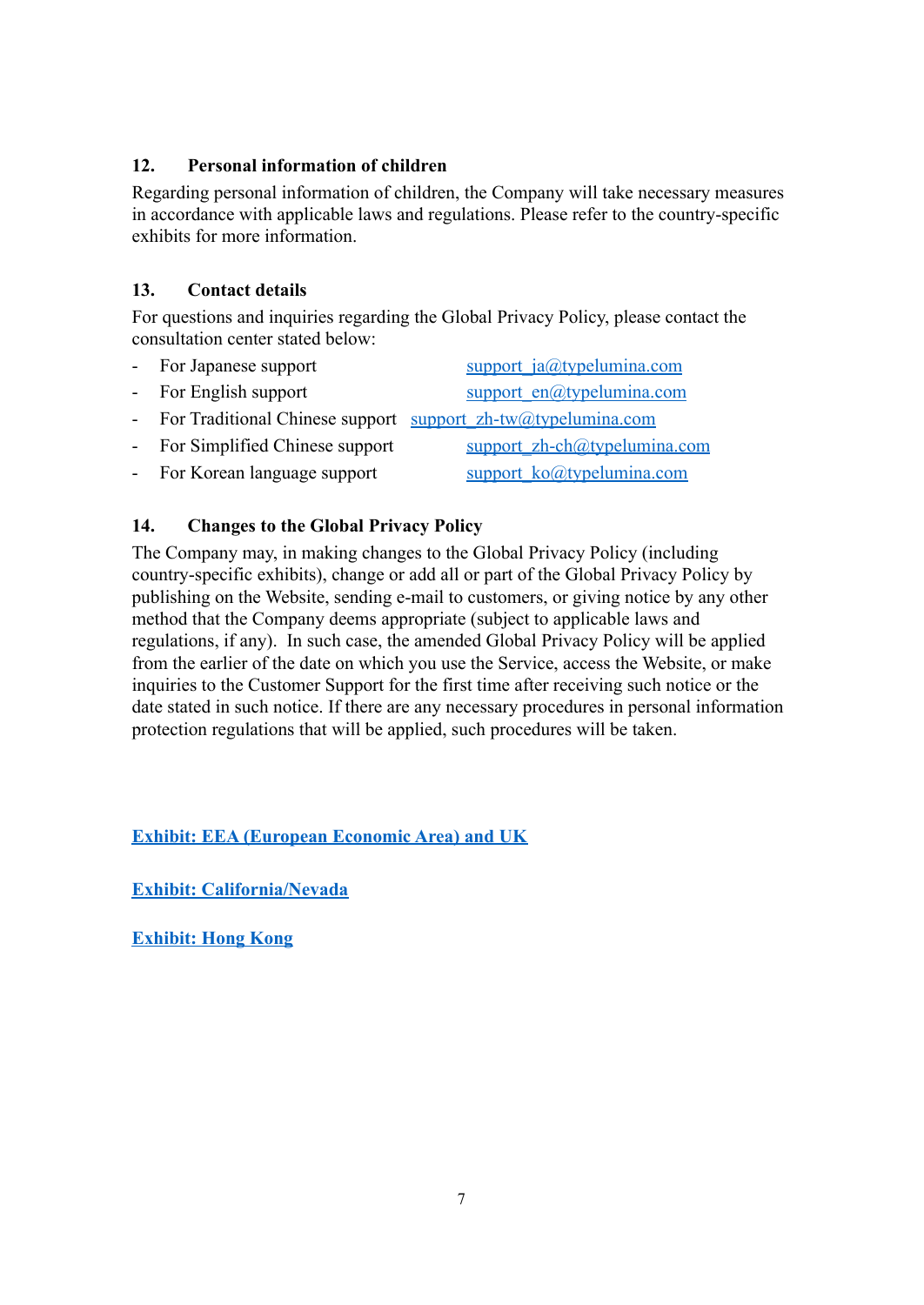#### **12. Personal information of children**

Regarding personal information of children, the Company will take necessary measures in accordance with applicable laws and regulations. Please refer to the country-specific exhibits for more information.

## **13. Contact details**

For questions and inquiries regarding the Global Privacy Policy, please contact the consultation center stated below:

| - For Japanese support           | support $ja@type$ lumina.com                                   |
|----------------------------------|----------------------------------------------------------------|
| - For English support            | support $en(\hat{a}$ typelumina.com                            |
|                                  | - For Traditional Chinese support support_zh-tw@typelumina.com |
| - For Simplified Chinese support | support zh-ch@typelumina.com                                   |
| - For Korean language support    | support ko@typelumina.com                                      |
|                                  |                                                                |

## **14. Changes to the Global Privacy Policy**

The Company may, in making changes to the Global Privacy Policy (including country-specific exhibits), change or add all or part of the Global Privacy Policy by publishing on the Website, sending e-mail to customers, or giving notice by any other method that the Company deems appropriate (subject to applicable laws and regulations, if any). In such case, the amended Global Privacy Policy will be applied from the earlier of the date on which you use the Service, access the Website, or make inquiries to the Customer Support for the first time after receiving such notice or the date stated in such notice. If there are any necessary procedures in personal information protection regulations that will be applied, such procedures will be taken.

**[Exhibit: EEA \(European Economic Area\) and UK](#page-7-0)**

**[Exhibit: California/Nevada](#page-9-0)**

**[Exhibit: Hong Kong](#page-13-0)**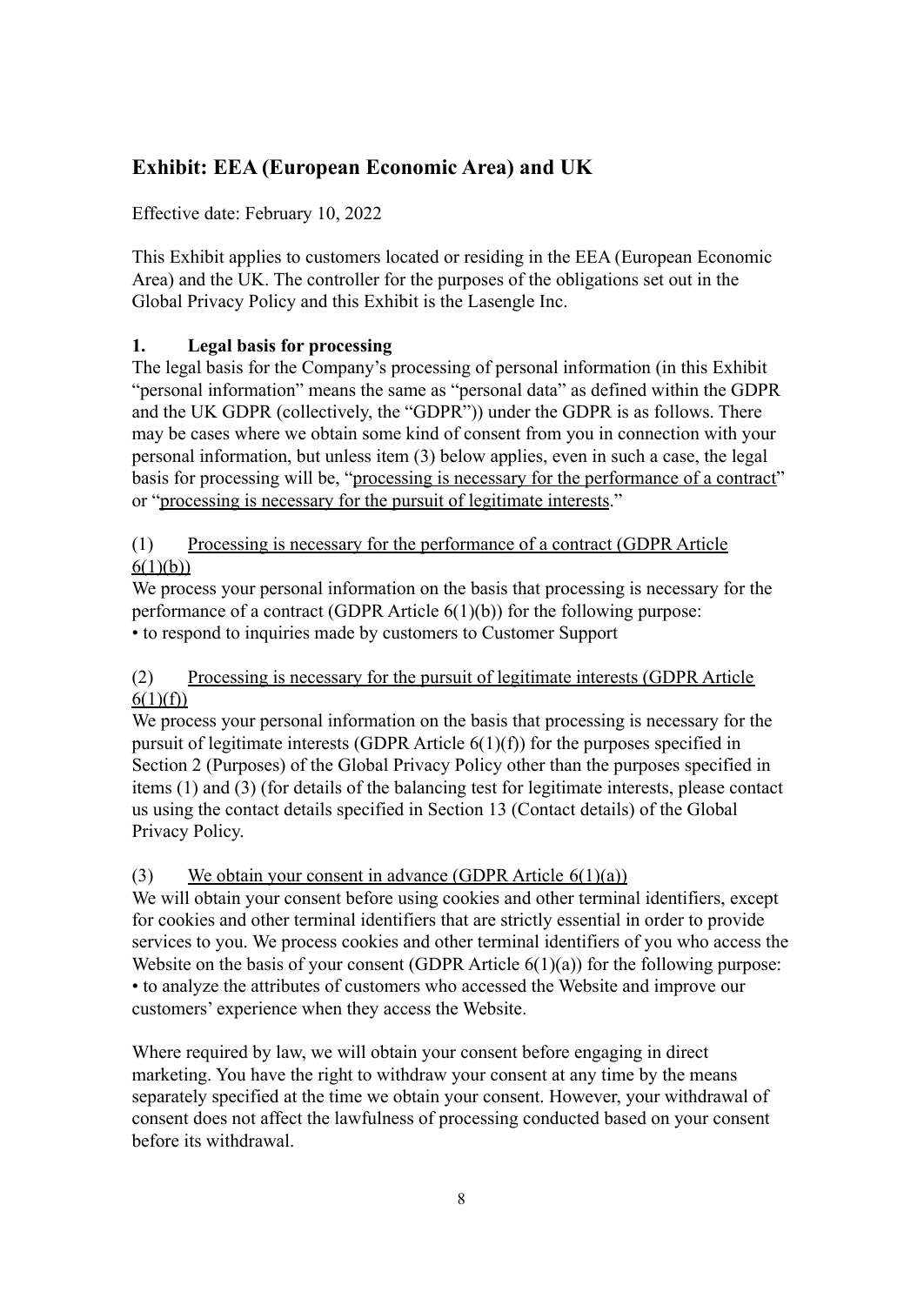# <span id="page-7-0"></span>**Exhibit: EEA (European Economic Area) and UK**

Effective date: February 10, 2022

This Exhibit applies to customers located or residing in the EEA (European Economic Area) and the UK. The controller for the purposes of the obligations set out in the Global Privacy Policy and this Exhibit is the Lasengle Inc.

## **1. Legal basis for processing**

The legal basis for the Company's processing of personal information (in this Exhibit "personal information" means the same as "personal data" as defined within the GDPR and the UK GDPR (collectively, the "GDPR")) under the GDPR is as follows. There may be cases where we obtain some kind of consent from you in connection with your personal information, but unless item (3) below applies, even in such a case, the legal basis for processing will be, "processing is necessary for the performance of a contract" or "processing is necessary for the pursuit of legitimate interests."

### (1) Processing is necessary for the performance of a contract (GDPR Article  $6(1)(b)$

We process your personal information on the basis that processing is necessary for the performance of a contract (GDPR Article  $6(1)(b)$ ) for the following purpose: • to respond to inquiries made by customers to Customer Support

### (2) Processing is necessary for the pursuit of legitimate interests (GDPR Article  $6(1)(f)$

We process your personal information on the basis that processing is necessary for the pursuit of legitimate interests (GDPR Article  $6(1)(f)$ ) for the purposes specified in Section 2 (Purposes) of the Global Privacy Policy other than the purposes specified in items (1) and (3) (for details of the balancing test for legitimate interests, please contact us using the contact details specified in Section 13 (Contact details) of the Global Privacy Policy.

#### (3) We obtain your consent in advance (GDPR Article 6(1)(a))

We will obtain your consent before using cookies and other terminal identifiers, except for cookies and other terminal identifiers that are strictly essential in order to provide services to you. We process cookies and other terminal identifiers of you who access the Website on the basis of your consent (GDPR Article  $6(1)(a)$ ) for the following purpose: • to analyze the attributes of customers who accessed the Website and improve our customers' experience when they access the Website.

Where required by law, we will obtain your consent before engaging in direct marketing. You have the right to withdraw your consent at any time by the means separately specified at the time we obtain your consent. However, your withdrawal of consent does not affect the lawfulness of processing conducted based on your consent before its withdrawal.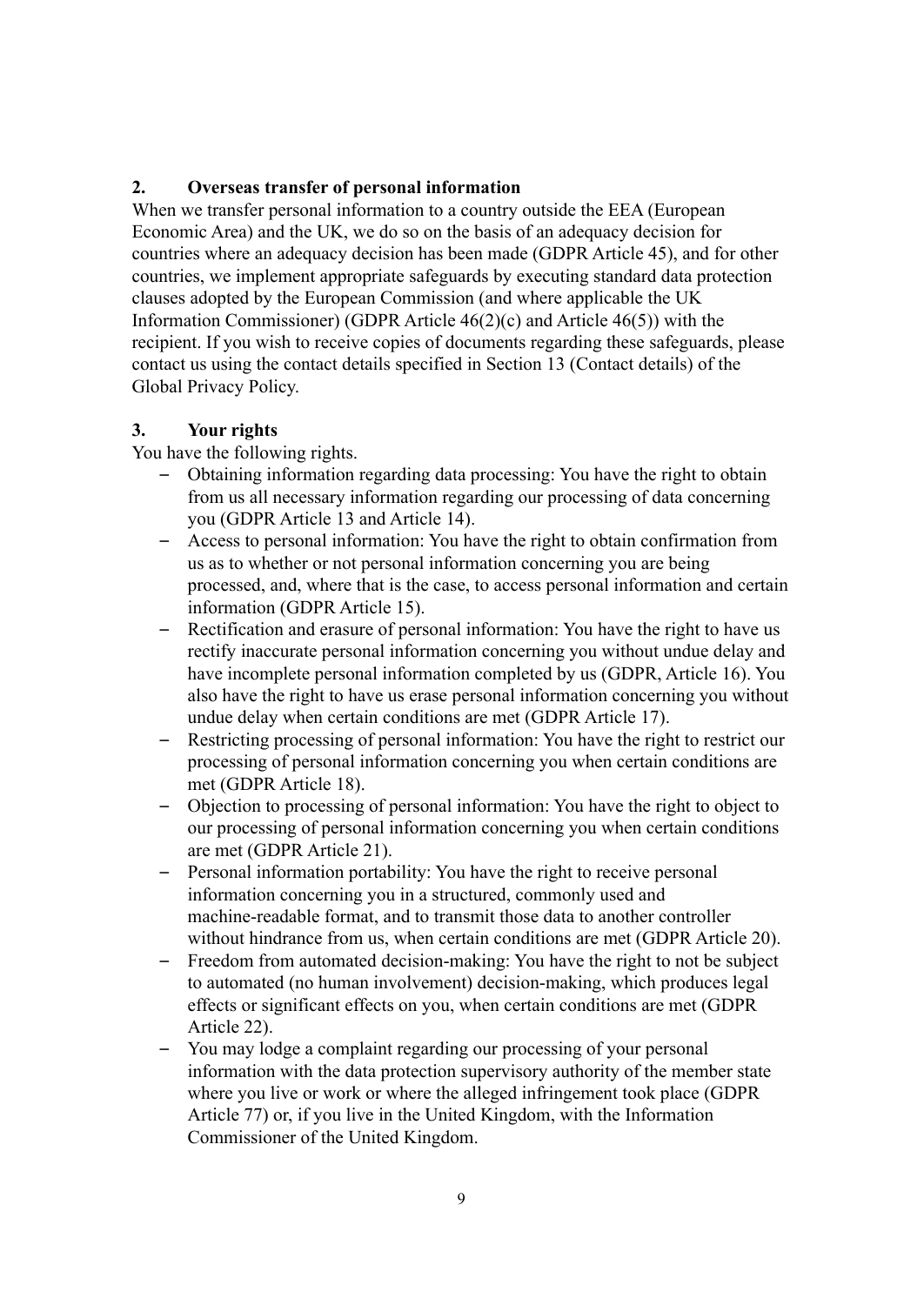#### **2. Overseas transfer of personal information**

When we transfer personal information to a country outside the EEA (European Economic Area) and the UK, we do so on the basis of an adequacy decision for countries where an adequacy decision has been made (GDPR Article 45), and for other countries, we implement appropriate safeguards by executing standard data protection clauses adopted by the European Commission (and where applicable the UK Information Commissioner) (GDPR Article 46(2)(c) and Article 46(5)) with the recipient. If you wish to receive copies of documents regarding these safeguards, please contact us using the contact details specified in Section 13 (Contact details) of the Global Privacy Policy.

#### **3. Your rights**

You have the following rights.

- Obtaining information regarding data processing: You have the right to obtain from us all necessary information regarding our processing of data concerning you (GDPR Article 13 and Article 14).
- Access to personal information: You have the right to obtain confirmation from us as to whether or not personal information concerning you are being processed, and, where that is the case, to access personal information and certain information (GDPR Article 15).
- Rectification and erasure of personal information: You have the right to have us rectify inaccurate personal information concerning you without undue delay and have incomplete personal information completed by us (GDPR, Article 16). You also have the right to have us erase personal information concerning you without undue delay when certain conditions are met (GDPR Article 17).
- Restricting processing of personal information: You have the right to restrict our processing of personal information concerning you when certain conditions are met (GDPR Article 18).
- Objection to processing of personal information: You have the right to object to our processing of personal information concerning you when certain conditions are met (GDPR Article 21).
- Personal information portability: You have the right to receive personal information concerning you in a structured, commonly used and machine-readable format, and to transmit those data to another controller without hindrance from us, when certain conditions are met (GDPR Article 20).
- Freedom from automated decision-making: You have the right to not be subject to automated (no human involvement) decision-making, which produces legal effects or significant effects on you, when certain conditions are met (GDPR Article 22).
- You may lodge a complaint regarding our processing of your personal information with the data protection supervisory authority of the member state where you live or work or where the alleged infringement took place (GDPR Article 77) or, if you live in the United Kingdom, with the Information Commissioner of the United Kingdom.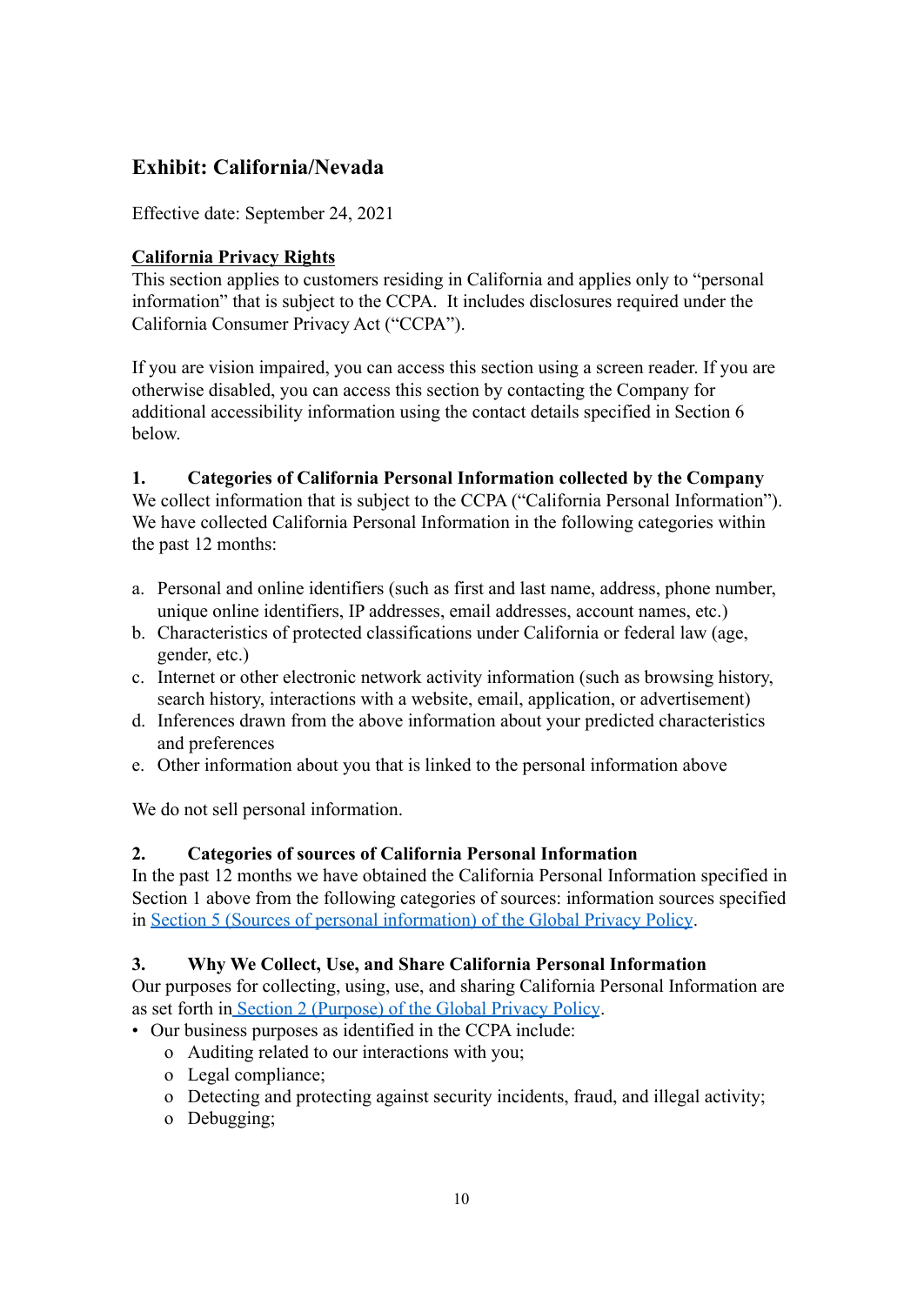# <span id="page-9-0"></span>**Exhibit: California/Nevada**

Effective date: September 24, 2021

### **California Privacy Rights**

This section applies to customers residing in California and applies only to "personal information" that is subject to the CCPA. It includes disclosures required under the California Consumer Privacy Act ("CCPA").

If you are vision impaired, you can access this section using a screen reader. If you are otherwise disabled, you can access this section by contacting the Company for additional accessibility information using the contact details specified in Section 6 below.

### **1. Categories of California Personal Information collected by the Company**

We collect information that is subject to the CCPA ("California Personal Information"). We have collected California Personal Information in the following categories within the past 12 months:

- a. Personal and online identifiers (such as first and last name, address, phone number, unique online identifiers, IP addresses, email addresses, account names, etc.)
- b. Characteristics of protected classifications under California or federal law (age, gender, etc.)
- c. Internet or other electronic network activity information (such as browsing history, search history, interactions with a website, email, application, or advertisement)
- d. Inferences drawn from the above information about your predicted characteristics and preferences
- e. Other information about you that is linked to the personal information above

We do not sell personal information.

#### **2. Categories of sources of California Personal Information**

In the past 12 months we have obtained the California Personal Information specified in Section 1 above from the following categories of sources: information sources specified in [Section 5 \(Sources of personal information\) of](#page-2-0) the Global Privacy Policy.

#### **3. Why We Collect, Use, and Share California Personal Information**

Our purposes for collecting, using, use, and sharing California Personal Information are as set forth in [Section 2 \(Purpose\) of the Global](#page-0-0) Privacy Policy.

- Our business purposes as identified in the CCPA include:
	- o Auditing related to our interactions with you;
	- o Legal compliance;
	- o Detecting and protecting against security incidents, fraud, and illegal activity;
	- o Debugging;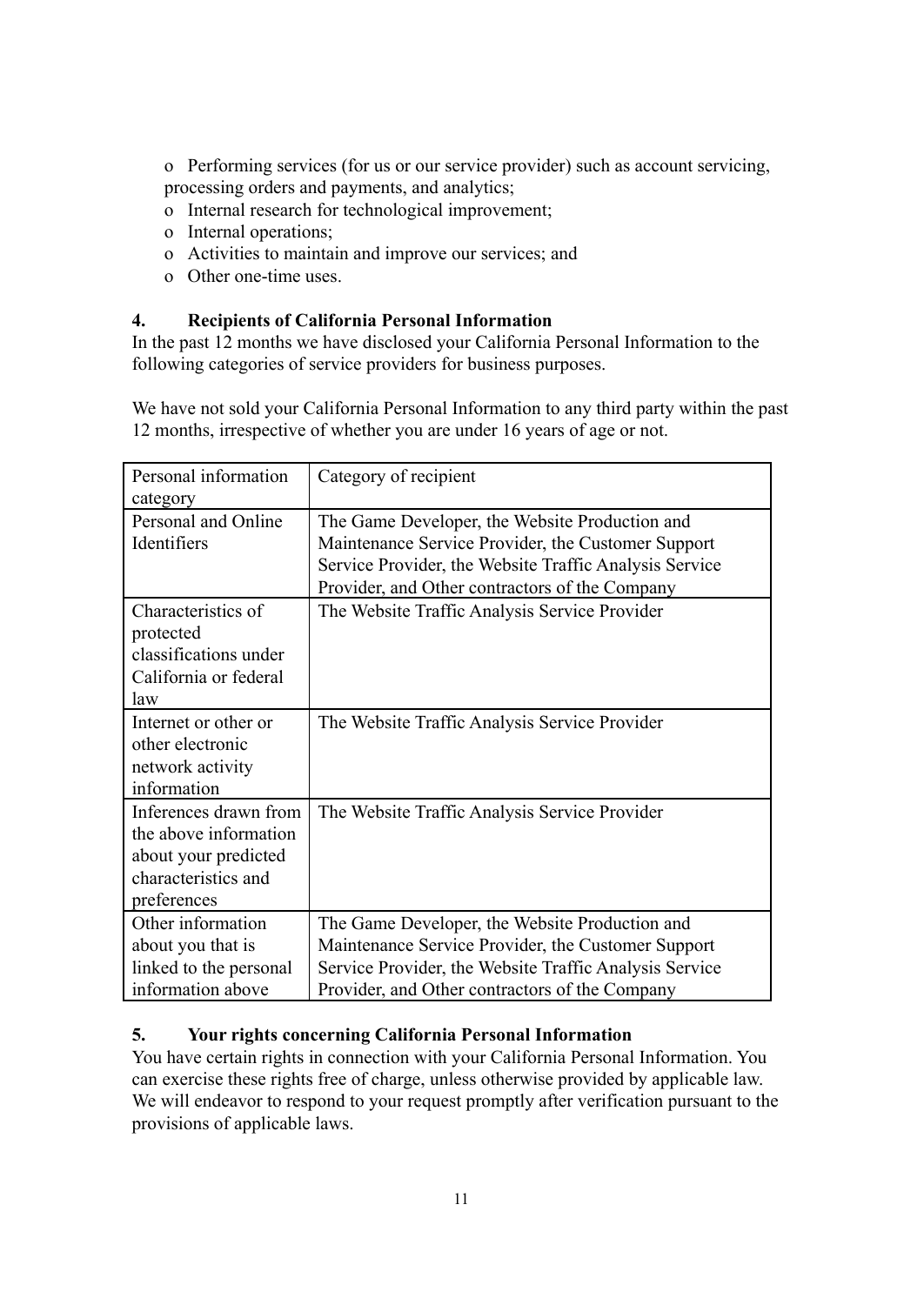o Performing services (for us or our service provider) such as account servicing, processing orders and payments, and analytics;

- o Internal research for technological improvement;
- o Internal operations;
- o Activities to maintain and improve our services; and
- o Other one-time uses.

#### **4. Recipients of California Personal Information**

In the past 12 months we have disclosed your California Personal Information to the following categories of service providers for business purposes.

We have not sold your California Personal Information to any third party within the past 12 months, irrespective of whether you are under 16 years of age or not.

| Personal information   | Category of recipient                                  |
|------------------------|--------------------------------------------------------|
| category               |                                                        |
| Personal and Online    | The Game Developer, the Website Production and         |
| Identifiers            | Maintenance Service Provider, the Customer Support     |
|                        | Service Provider, the Website Traffic Analysis Service |
|                        | Provider, and Other contractors of the Company         |
| Characteristics of     | The Website Traffic Analysis Service Provider          |
| protected              |                                                        |
| classifications under  |                                                        |
| California or federal  |                                                        |
| law                    |                                                        |
| Internet or other or   | The Website Traffic Analysis Service Provider          |
| other electronic       |                                                        |
| network activity       |                                                        |
| information            |                                                        |
| Inferences drawn from  | The Website Traffic Analysis Service Provider          |
| the above information  |                                                        |
| about your predicted   |                                                        |
| characteristics and    |                                                        |
| preferences            |                                                        |
| Other information      | The Game Developer, the Website Production and         |
| about you that is      | Maintenance Service Provider, the Customer Support     |
| linked to the personal | Service Provider, the Website Traffic Analysis Service |
| information above      | Provider, and Other contractors of the Company         |

#### **5. Your rights concerning California Personal Information**

You have certain rights in connection with your California Personal Information. You can exercise these rights free of charge, unless otherwise provided by applicable law. We will endeavor to respond to your request promptly after verification pursuant to the provisions of applicable laws.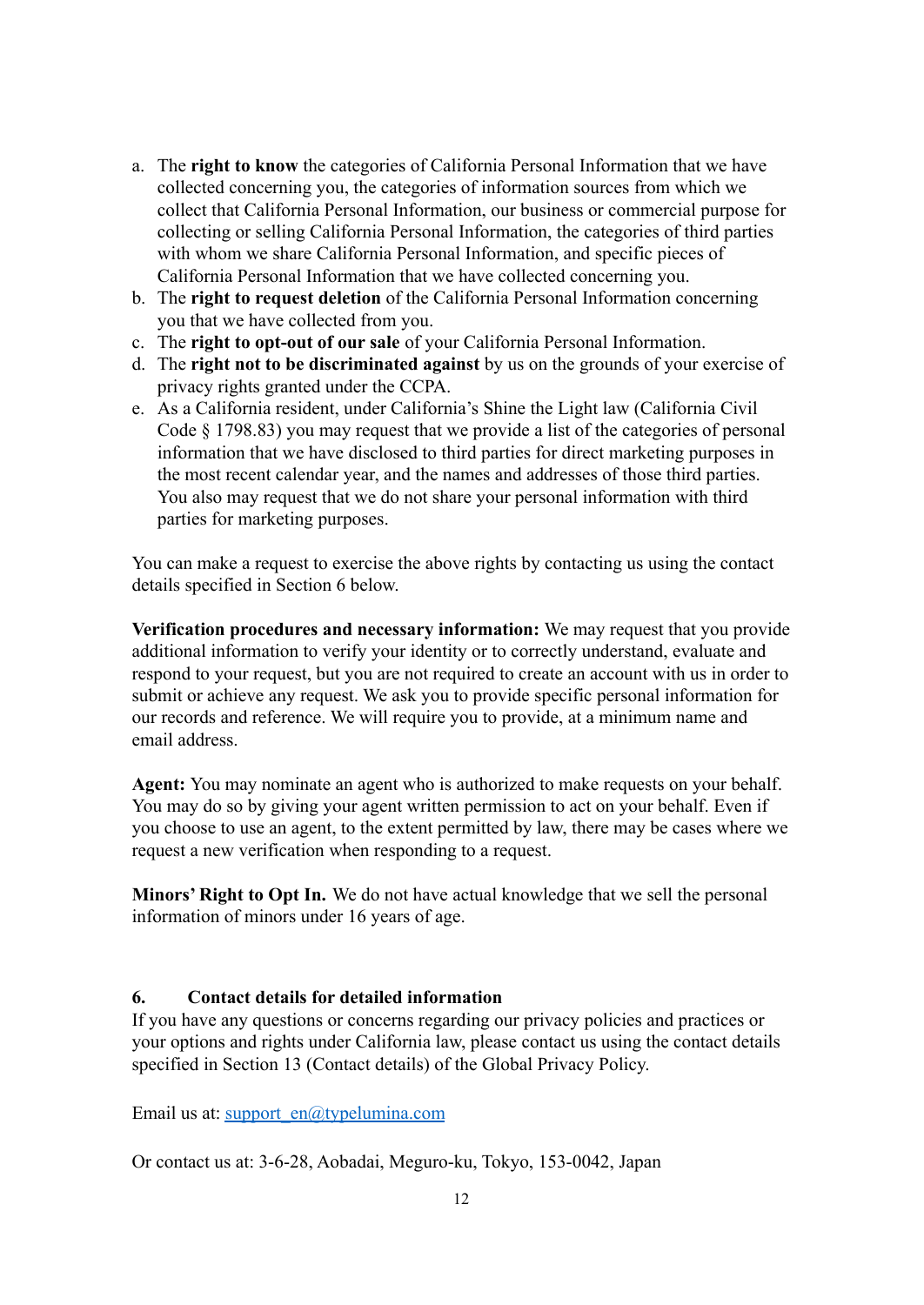- a. The **right to know** the categories of California Personal Information that we have collected concerning you, the categories of information sources from which we collect that California Personal Information, our business or commercial purpose for collecting or selling California Personal Information, the categories of third parties with whom we share California Personal Information, and specific pieces of California Personal Information that we have collected concerning you.
- b. The **right to request deletion** of the California Personal Information concerning you that we have collected from you.
- c. The **right to opt-out of our sale** of your California Personal Information.
- d. The **right not to be discriminated against** by us on the grounds of your exercise of privacy rights granted under the CCPA.
- e. As a California resident, under California's Shine the Light law (California Civil Code § 1798.83) you may request that we provide a list of the categories of personal information that we have disclosed to third parties for direct marketing purposes in the most recent calendar year, and the names and addresses of those third parties. You also may request that we do not share your personal information with third parties for marketing purposes.

You can make a request to exercise the above rights by contacting us using the contact details specified in Section 6 below.

**Verification procedures and necessary information:** We may request that you provide additional information to verify your identity or to correctly understand, evaluate and respond to your request, but you are not required to create an account with us in order to submit or achieve any request. We ask you to provide specific personal information for our records and reference. We will require you to provide, at a minimum name and email address.

**Agent:** You may nominate an agent who is authorized to make requests on your behalf. You may do so by giving your agent written permission to act on your behalf. Even if you choose to use an agent, to the extent permitted by law, there may be cases where we request a new verification when responding to a request.

**Minors' Right to Opt In.** We do not have actual knowledge that we sell the personal information of minors under 16 years of age.

#### **6. Contact details for detailed information**

If you have any questions or concerns regarding our privacy policies and practices or your options and rights under California law, please contact us using the contact details specified in Section 13 (Contact details) of the Global Privacy Policy.

Email us at: [support\\_en@typelumina.com](mailto:support_en@typelumina.com)

Or contact us at: 3-6-28, Aobadai, Meguro-ku, Tokyo, 153-0042, Japan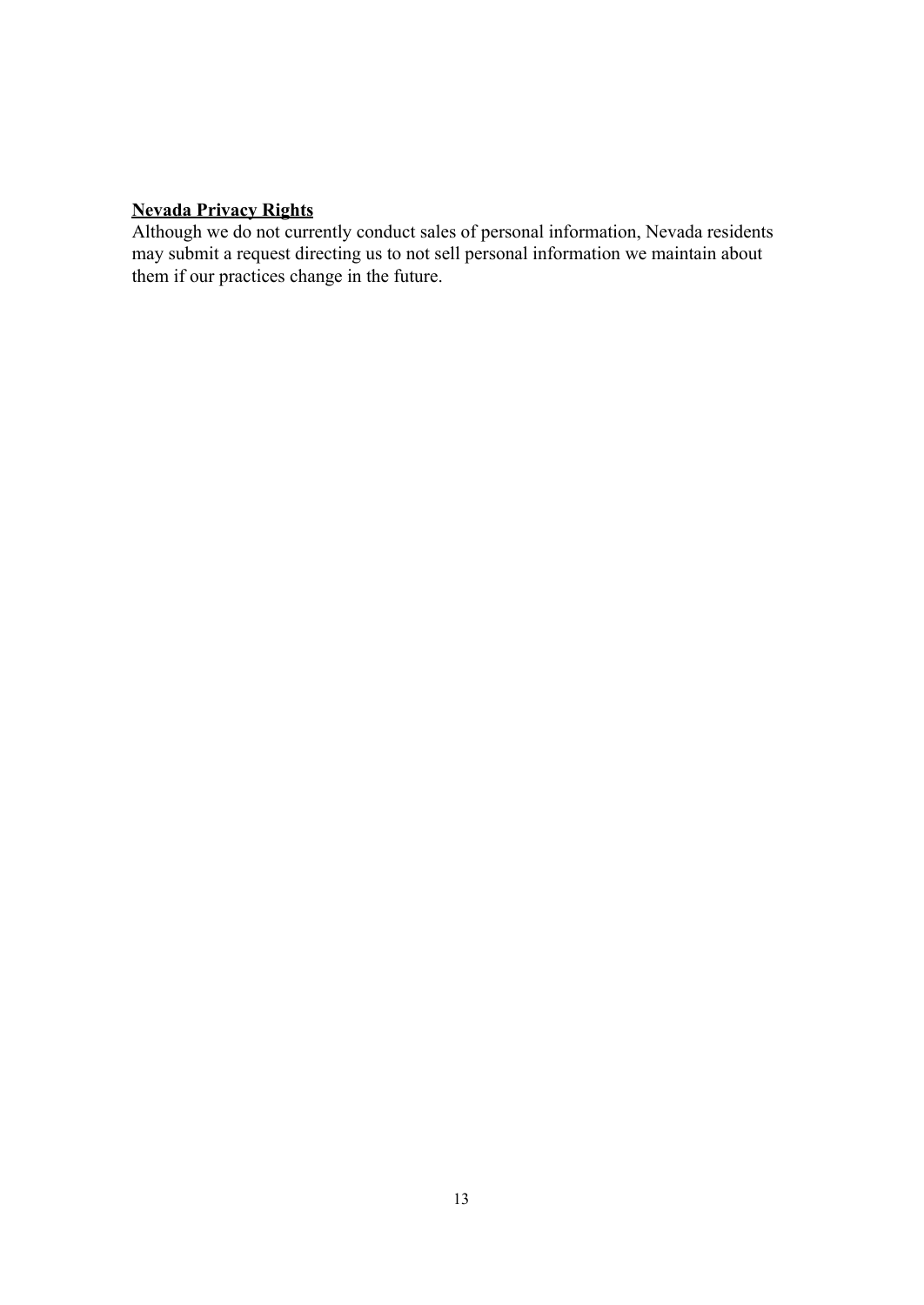#### **Nevada Privacy Rights**

Although we do not currently conduct sales of personal information, Nevada residents may submit a request directing us to not sell personal information we maintain about them if our practices change in the future.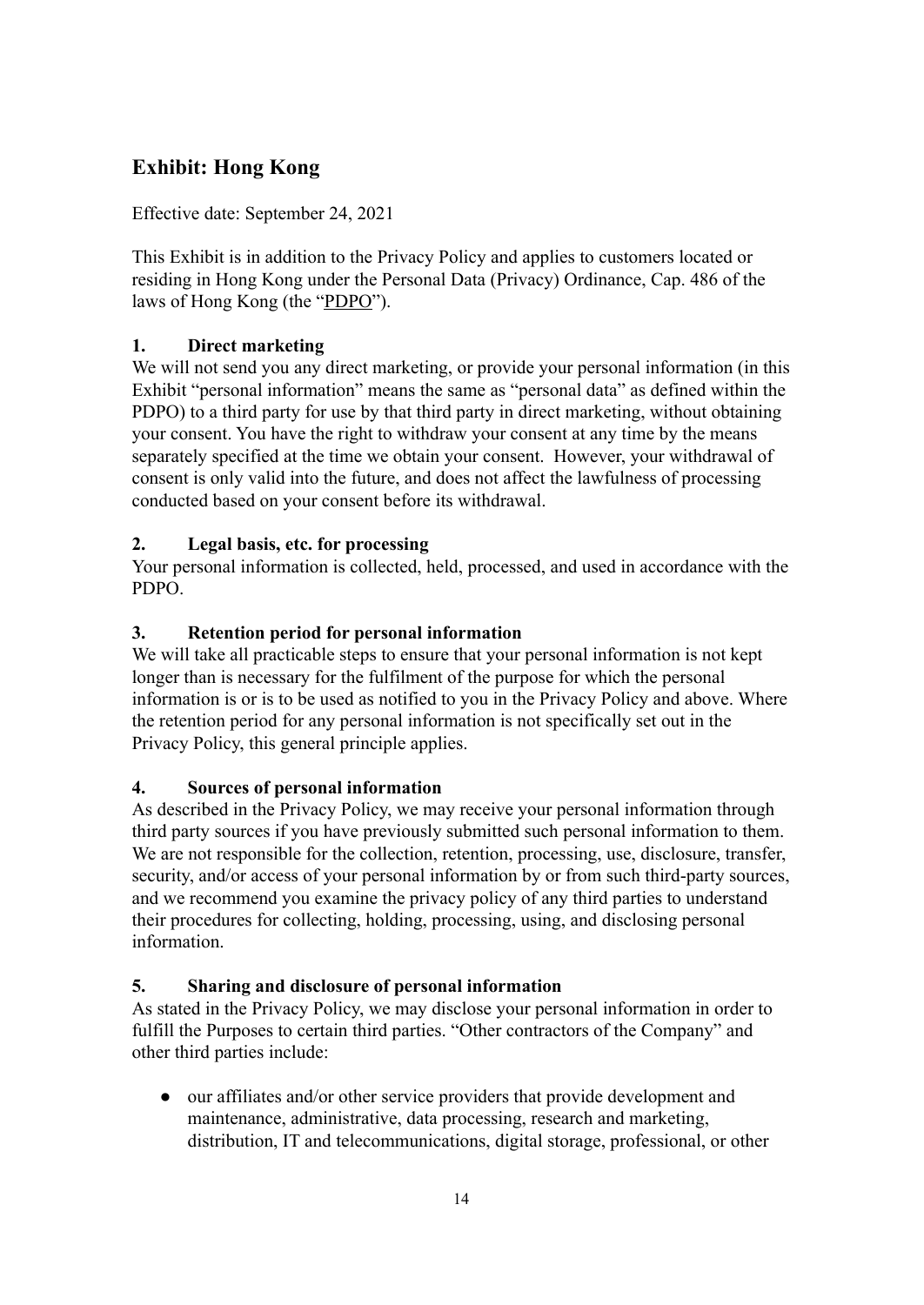# <span id="page-13-0"></span>**Exhibit: Hong Kong**

Effective date: September 24, 2021

This Exhibit is in addition to the Privacy Policy and applies to customers located or residing in Hong Kong under the Personal Data (Privacy) Ordinance, Cap. 486 of the laws of Hong Kong (the "PDPO").

## **1. Direct marketing**

We will not send you any direct marketing, or provide your personal information (in this Exhibit "personal information" means the same as "personal data" as defined within the PDPO) to a third party for use by that third party in direct marketing, without obtaining your consent. You have the right to withdraw your consent at any time by the means separately specified at the time we obtain your consent. However, your withdrawal of consent is only valid into the future, and does not affect the lawfulness of processing conducted based on your consent before its withdrawal.

### **2. Legal basis, etc. for processing**

Your personal information is collected, held, processed, and used in accordance with the PDPO.

### **3. Retention period for personal information**

We will take all practicable steps to ensure that your personal information is not kept longer than is necessary for the fulfilment of the purpose for which the personal information is or is to be used as notified to you in the Privacy Policy and above. Where the retention period for any personal information is not specifically set out in the Privacy Policy, this general principle applies.

#### **4. Sources of personal information**

As described in the Privacy Policy, we may receive your personal information through third party sources if you have previously submitted such personal information to them. We are not responsible for the collection, retention, processing, use, disclosure, transfer, security, and/or access of your personal information by or from such third-party sources, and we recommend you examine the privacy policy of any third parties to understand their procedures for collecting, holding, processing, using, and disclosing personal information.

#### **5. Sharing and disclosure of personal information**

As stated in the Privacy Policy, we may disclose your personal information in order to fulfill the Purposes to certain third parties. "Other contractors of the Company" and other third parties include:

● our affiliates and/or other service providers that provide development and maintenance, administrative, data processing, research and marketing, distribution, IT and telecommunications, digital storage, professional, or other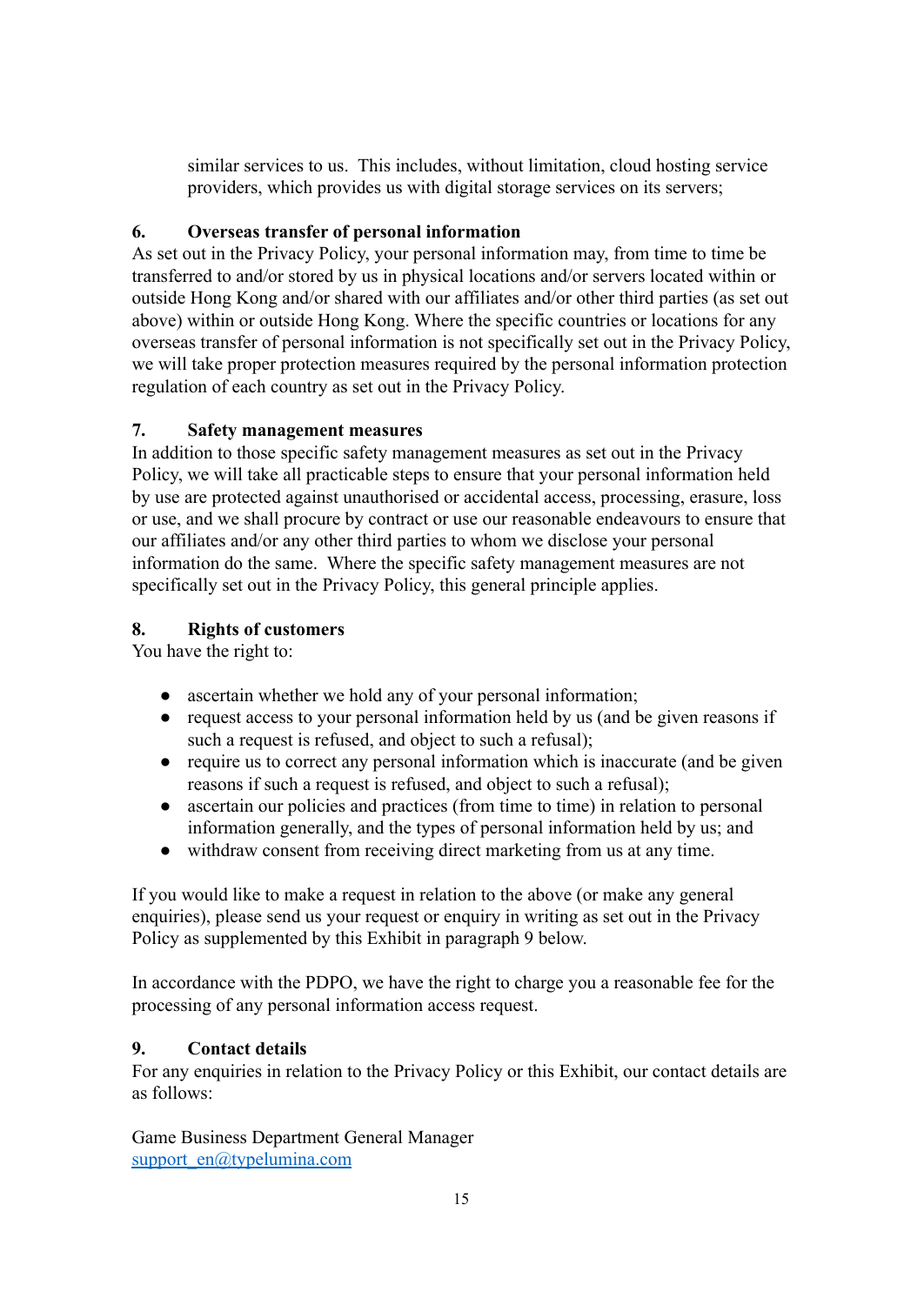similar services to us. This includes, without limitation, cloud hosting service providers, which provides us with digital storage services on its servers;

## **6. Overseas transfer of personal information**

As set out in the Privacy Policy, your personal information may, from time to time be transferred to and/or stored by us in physical locations and/or servers located within or outside Hong Kong and/or shared with our affiliates and/or other third parties (as set out above) within or outside Hong Kong. Where the specific countries or locations for any overseas transfer of personal information is not specifically set out in the Privacy Policy, we will take proper protection measures required by the personal information protection regulation of each country as set out in the Privacy Policy.

## **7. Safety management measures**

In addition to those specific safety management measures as set out in the Privacy Policy, we will take all practicable steps to ensure that your personal information held by use are protected against unauthorised or accidental access, processing, erasure, loss or use, and we shall procure by contract or use our reasonable endeavours to ensure that our affiliates and/or any other third parties to whom we disclose your personal information do the same. Where the specific safety management measures are not specifically set out in the Privacy Policy, this general principle applies.

## **8. Rights of customers**

You have the right to:

- ascertain whether we hold any of your personal information;
- request access to your personal information held by us (and be given reasons if such a request is refused, and object to such a refusal);
- require us to correct any personal information which is inaccurate (and be given reasons if such a request is refused, and object to such a refusal);
- ascertain our policies and practices (from time to time) in relation to personal information generally, and the types of personal information held by us; and
- withdraw consent from receiving direct marketing from us at any time.

If you would like to make a request in relation to the above (or make any general enquiries), please send us your request or enquiry in writing as set out in the Privacy Policy as supplemented by this Exhibit in paragraph 9 below.

In accordance with the PDPO, we have the right to charge you a reasonable fee for the processing of any personal information access request.

## **9. Contact details**

For any enquiries in relation to the Privacy Policy or this Exhibit, our contact details are as follows:

Game Business Department General Manager [support\\_en@typelumina.com](mailto:support_en@typelumina.com)